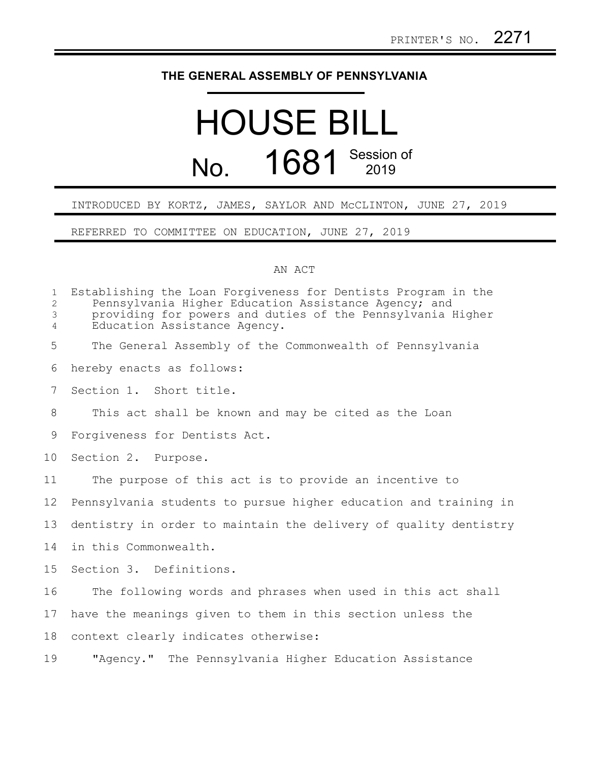## **THE GENERAL ASSEMBLY OF PENNSYLVANIA**

## HOUSE BILL No. 1681 Session of

## INTRODUCED BY KORTZ, JAMES, SAYLOR AND McCLINTON, JUNE 27, 2019

REFERRED TO COMMITTEE ON EDUCATION, JUNE 27, 2019

## AN ACT

| $\mathbf{1}$<br>$\mathbf{2}$<br>3<br>$\overline{4}$ | Establishing the Loan Forgiveness for Dentists Program in the<br>Pennsylvania Higher Education Assistance Agency; and<br>providing for powers and duties of the Pennsylvania Higher<br>Education Assistance Agency. |
|-----------------------------------------------------|---------------------------------------------------------------------------------------------------------------------------------------------------------------------------------------------------------------------|
| 5                                                   | The General Assembly of the Commonwealth of Pennsylvania                                                                                                                                                            |
| 6                                                   | hereby enacts as follows:                                                                                                                                                                                           |
| 7                                                   | Section 1. Short title.                                                                                                                                                                                             |
| 8                                                   | This act shall be known and may be cited as the Loan                                                                                                                                                                |
| 9                                                   | Forgiveness for Dentists Act.                                                                                                                                                                                       |
| 10                                                  | Section 2. Purpose.                                                                                                                                                                                                 |
| 11                                                  | The purpose of this act is to provide an incentive to                                                                                                                                                               |
| 12                                                  | Pennsylvania students to pursue higher education and training in                                                                                                                                                    |
| 13                                                  | dentistry in order to maintain the delivery of quality dentistry                                                                                                                                                    |
| 14                                                  | in this Commonwealth.                                                                                                                                                                                               |
| 15                                                  | Section 3. Definitions.                                                                                                                                                                                             |
| 16                                                  | The following words and phrases when used in this act shall                                                                                                                                                         |
| 17                                                  | have the meanings given to them in this section unless the                                                                                                                                                          |
| 18                                                  | context clearly indicates otherwise:                                                                                                                                                                                |
| 19                                                  | "Agency." The Pennsylvania Higher Education Assistance                                                                                                                                                              |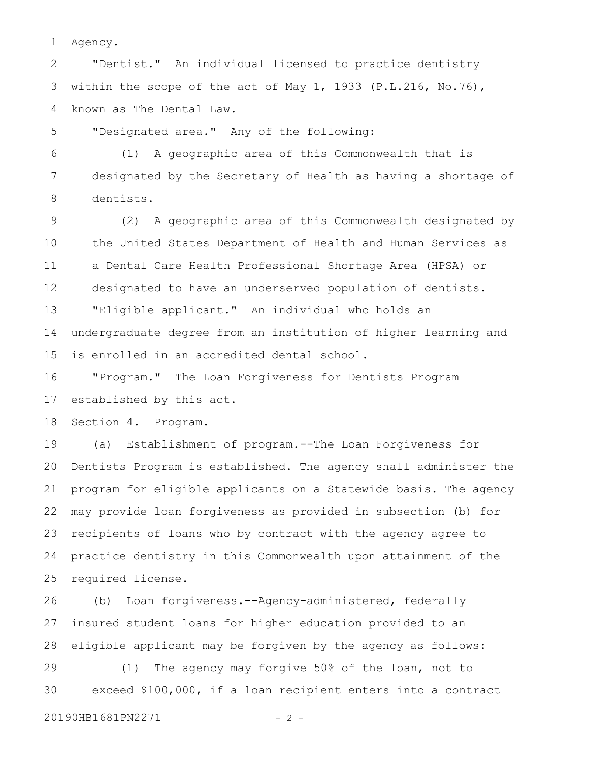Agency. 1

"Dentist." An individual licensed to practice dentistry within the scope of the act of May 1, 1933 (P.L.216, No.76), known as The Dental Law. 2 3 4

"Designated area." Any of the following: 5

(1) A geographic area of this Commonwealth that is designated by the Secretary of Health as having a shortage of dentists. 6 7 8

(2) A geographic area of this Commonwealth designated by the United States Department of Health and Human Services as a Dental Care Health Professional Shortage Area (HPSA) or designated to have an underserved population of dentists. "Eligible applicant." An individual who holds an undergraduate degree from an institution of higher learning and is enrolled in an accredited dental school. 9 10 11 12 13 14 15

"Program." The Loan Forgiveness for Dentists Program established by this act. 16 17

Section 4. Program. 18

(a) Establishment of program.--The Loan Forgiveness for Dentists Program is established. The agency shall administer the program for eligible applicants on a Statewide basis. The agency may provide loan forgiveness as provided in subsection (b) for recipients of loans who by contract with the agency agree to practice dentistry in this Commonwealth upon attainment of the required license. 19 20 21 22 23 24 25

(b) Loan forgiveness.--Agency-administered, federally insured student loans for higher education provided to an eligible applicant may be forgiven by the agency as follows: 26 27 28

(1) The agency may forgive 50% of the loan, not to exceed \$100,000, if a loan recipient enters into a contract 29 30

```
20190HB1681PN2271 - 2 -
```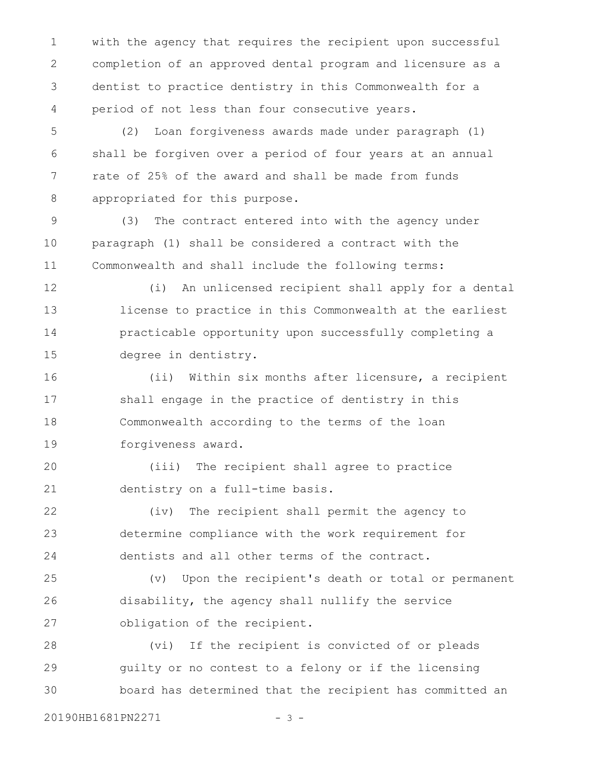with the agency that requires the recipient upon successful completion of an approved dental program and licensure as a dentist to practice dentistry in this Commonwealth for a period of not less than four consecutive years. 1 2 3 4

(2) Loan forgiveness awards made under paragraph (1) shall be forgiven over a period of four years at an annual rate of 25% of the award and shall be made from funds appropriated for this purpose. 5 6 7 8

(3) The contract entered into with the agency under paragraph (1) shall be considered a contract with the Commonwealth and shall include the following terms: 9 10 11

(i) An unlicensed recipient shall apply for a dental license to practice in this Commonwealth at the earliest practicable opportunity upon successfully completing a degree in dentistry. 12 13 14 15

(ii) Within six months after licensure, a recipient shall engage in the practice of dentistry in this Commonwealth according to the terms of the loan forgiveness award. 16 17 18 19

(iii) The recipient shall agree to practice dentistry on a full-time basis. 20 21

(iv) The recipient shall permit the agency to determine compliance with the work requirement for dentists and all other terms of the contract. 22 23 24

(v) Upon the recipient's death or total or permanent disability, the agency shall nullify the service obligation of the recipient. 25 26 27

(vi) If the recipient is convicted of or pleads guilty or no contest to a felony or if the licensing board has determined that the recipient has committed an 28 29 30

20190HB1681PN2271 - 3 -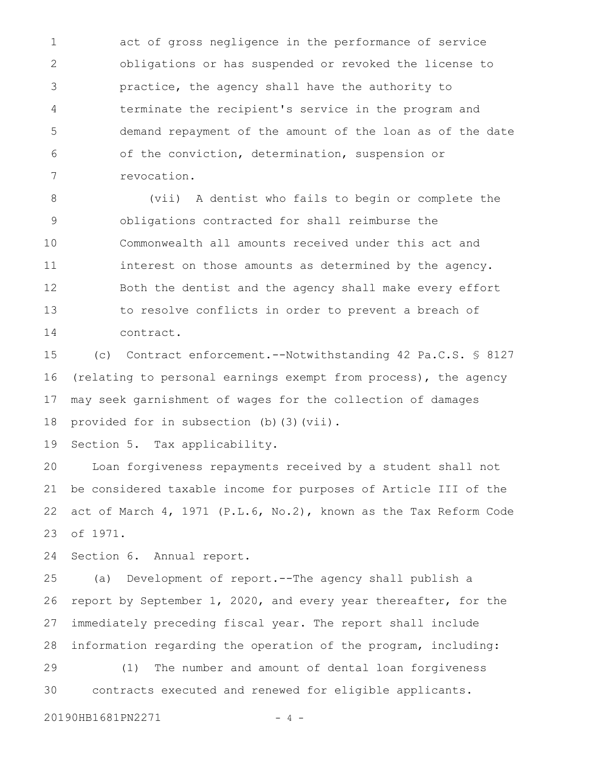act of gross negligence in the performance of service obligations or has suspended or revoked the license to practice, the agency shall have the authority to terminate the recipient's service in the program and demand repayment of the amount of the loan as of the date of the conviction, determination, suspension or revocation. 1 2 3 4 5 6 7

(vii) A dentist who fails to begin or complete the obligations contracted for shall reimburse the Commonwealth all amounts received under this act and interest on those amounts as determined by the agency. Both the dentist and the agency shall make every effort to resolve conflicts in order to prevent a breach of contract. 8 9 10 11 12 13 14

(c) Contract enforcement.--Notwithstanding 42 Pa.C.S. § 8127 (relating to personal earnings exempt from process), the agency may seek garnishment of wages for the collection of damages provided for in subsection (b)(3)(vii). 15 16 17 18

Section 5. Tax applicability. 19

Loan forgiveness repayments received by a student shall not be considered taxable income for purposes of Article III of the act of March 4, 1971 (P.L.6, No.2), known as the Tax Reform Code of 1971. 20 21 22 23

Section 6. Annual report. 24

(a) Development of report.--The agency shall publish a report by September 1, 2020, and every year thereafter, for the immediately preceding fiscal year. The report shall include information regarding the operation of the program, including: (1) The number and amount of dental loan forgiveness contracts executed and renewed for eligible applicants. 25 26 27 28 29 30

20190HB1681PN2271 - 4 -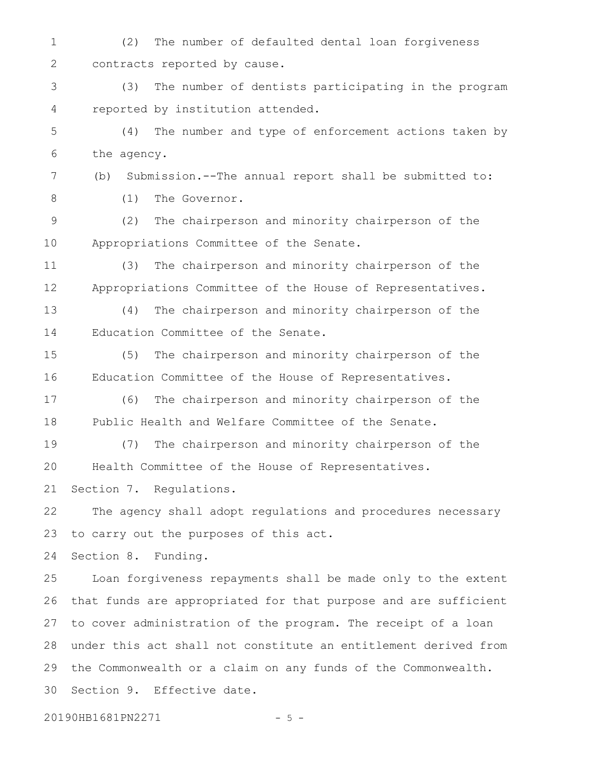(2) The number of defaulted dental loan forgiveness contracts reported by cause. 1 2

(3) The number of dentists participating in the program reported by institution attended. 3 4

(4) The number and type of enforcement actions taken by the agency. 5 6

(b) Submission.--The annual report shall be submitted to: (1) The Governor. 7 8

(2) The chairperson and minority chairperson of the Appropriations Committee of the Senate. 9 10

(3) The chairperson and minority chairperson of the Appropriations Committee of the House of Representatives. 11 12

(4) The chairperson and minority chairperson of the Education Committee of the Senate. 13 14

(5) The chairperson and minority chairperson of the Education Committee of the House of Representatives. 15 16

(6) The chairperson and minority chairperson of the Public Health and Welfare Committee of the Senate. 17 18

(7) The chairperson and minority chairperson of the Health Committee of the House of Representatives. Section 7. Regulations. 19 20 21

The agency shall adopt regulations and procedures necessary to carry out the purposes of this act. 22 23

Section 8. Funding. 24

Loan forgiveness repayments shall be made only to the extent that funds are appropriated for that purpose and are sufficient to cover administration of the program. The receipt of a loan under this act shall not constitute an entitlement derived from the Commonwealth or a claim on any funds of the Commonwealth. Section 9. Effective date. 25 26 27 28 29 30

20190HB1681PN2271 - 5 -